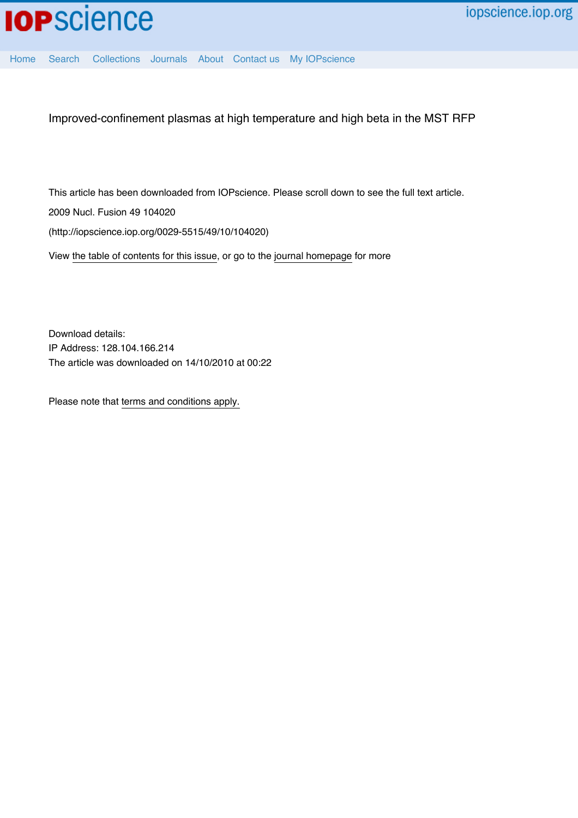

[Home](http://iopscience.iop.org/) [Search](http://iopscience.iop.org/search) [Collections](http://iopscience.iop.org/collections) [Journals](http://iopscience.iop.org/journals) [About](http://iopscience.iop.org/page/aboutioppublishing) [Contact us](http://iopscience.iop.org/contact) [My IOPscience](http://iopscience.iop.org/myiopscience)

Improved-confinement plasmas at high temperature and high beta in the MST RFP

This article has been downloaded from IOPscience. Please scroll down to see the full text article.

2009 Nucl. Fusion 49 104020

(http://iopscience.iop.org/0029-5515/49/10/104020)

View [the table of contents for this issue](http://iopscience.iop.org/0029-5515/49/10), or go to the [journal homepage](http://iopscience.iop.org/0029-5515) for more

Download details: IP Address: 128.104.166.214 The article was downloaded on 14/10/2010 at 00:22

Please note that [terms and conditions apply.](http://iopscience.iop.org/page/terms)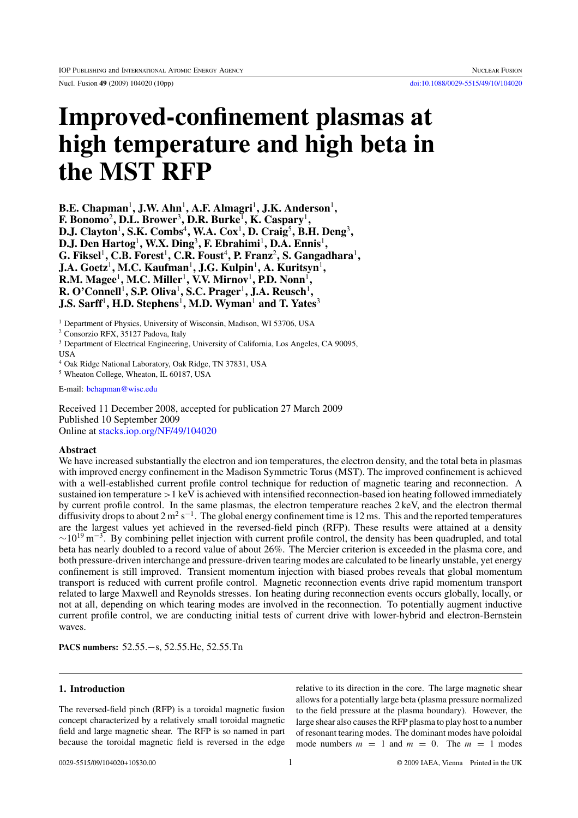# **Improved-confinement plasmas at high temperature and high beta in the MST RFP**

**B.E. Chapman**<sup>1</sup>**, J.W. Ahn**<sup>1</sup>**, A.F. Almagri**<sup>1</sup>**, J.K. Anderson**<sup>1</sup>**, F. Bonomo**<sup>2</sup>**, D.L. Brower**<sup>3</sup>**, D.R. Burke**<sup>1</sup>**, K. Caspary**<sup>1</sup>**, D.J. Clayton**<sup>1</sup>**, S.K. Combs**<sup>4</sup>**, W.A. Cox**<sup>1</sup>**, D. Craig**<sup>5</sup>**, B.H. Deng**<sup>3</sup>**, D.J. Den Hartog**<sup>1</sup>**, W.X. Ding**<sup>3</sup>**, F. Ebrahimi**<sup>1</sup>**, D.A. Ennis**<sup>1</sup>**, G. Fiksel**<sup>1</sup>**, C.B. Forest**<sup>1</sup>**, C.R. Foust**<sup>4</sup>**, P. Franz**<sup>2</sup>**, S. Gangadhara**<sup>1</sup>**, J.A. Goetz**<sup>1</sup>**, M.C. Kaufman**<sup>1</sup>**, J.G. Kulpin**<sup>1</sup>**, A. Kuritsyn**<sup>1</sup>**, R.M. Magee**<sup>1</sup>**, M.C. Miller**<sup>1</sup>**, V.V. Mirnov**<sup>1</sup>**, P.D. Nonn**<sup>1</sup>**, R. O'Connell**<sup>1</sup>**, S.P. Oliva**<sup>1</sup>**, S.C. Prager**<sup>1</sup>**, J.A. Reusch**<sup>1</sup>**, J.S. Sarff<sup>1</sup>, H.D. Stephens<sup>1</sup>, M.D. Wyman<sup>1</sup> and T. Yates<sup>3</sup>** 

<sup>1</sup> Department of Physics, University of Wisconsin, Madison, WI 53706, USA

<sup>2</sup> Consorzio RFX, 35127 Padova, Italy

<sup>3</sup> Department of Electrical Engineering, University of California, Los Angeles, CA 90095,

USA

<sup>4</sup> Oak Ridge National Laboratory, Oak Ridge, TN 37831, USA

<sup>5</sup> Wheaton College, Wheaton, IL 60187, USA

E-mail: bchapman@wisc.edu

Received 11 December 2008, accepted for publication 27 March 2009 Published 10 September 2009 Online at [stacks.iop.org/NF/49/104020](http://stacks.iop.org/NF/49/104020)

### **Abstract**

We have increased substantially the electron and ion temperatures, the electron density, and the total beta in plasmas with improved energy confinement in the Madison Symmetric Torus (MST). The improved confinement is achieved with a well-established current profile control technique for reduction of magnetic tearing and reconnection. A sustained ion temperature  $>1$  keV is achieved with intensified reconnection-based ion heating followed immediately by current profile control. In the same plasmas, the electron temperature reaches 2 keV, and the electron thermal diffusivity drops to about  $2 \text{ m}^2 \text{ s}^{-1}$ . The global energy confinement time is 12 ms. This and the reported temperatures are the largest values yet achieved in the reversed-field pinch (RFP). These results were attained at a density  $\sim$ 10<sup>19</sup> m<sup>-3</sup>. By combining pellet injection with current profile control, the density has been quadrupled, and total beta has nearly doubled to a record value of about 26%. The Mercier criterion is exceeded in the plasma core, and both pressure-driven interchange and pressure-driven tearing modes are calculated to be linearly unstable, yet energy confinement is still improved. Transient momentum injection with biased probes reveals that global momentum transport is reduced with current profile control. Magnetic reconnection events drive rapid momentum transport related to large Maxwell and Reynolds stresses. Ion heating during reconnection events occurs globally, locally, or not at all, depending on which tearing modes are involved in the reconnection. To potentially augment inductive current profile control, we are conducting initial tests of current drive with lower-hybrid and electron-Bernstein waves.

**PACS numbers:** 52.55.−s, 52.55.Hc, 52.55.Tn

## **1. Introduction**

The reversed-field pinch (RFP) is a toroidal magnetic fusion concept characterized by a relatively small toroidal magnetic field and large magnetic shear. The RFP is so named in part because the toroidal magnetic field is reversed in the edge

relative to its direction in the core. The large magnetic shear allows for a potentially large beta (plasma pressure normalized to the field pressure at the plasma boundary). However, the large shear also causes the RFP plasma to play host to a number of resonant tearing modes. The dominant modes have poloidal mode numbers  $m = 1$  and  $m = 0$ . The  $m = 1$  modes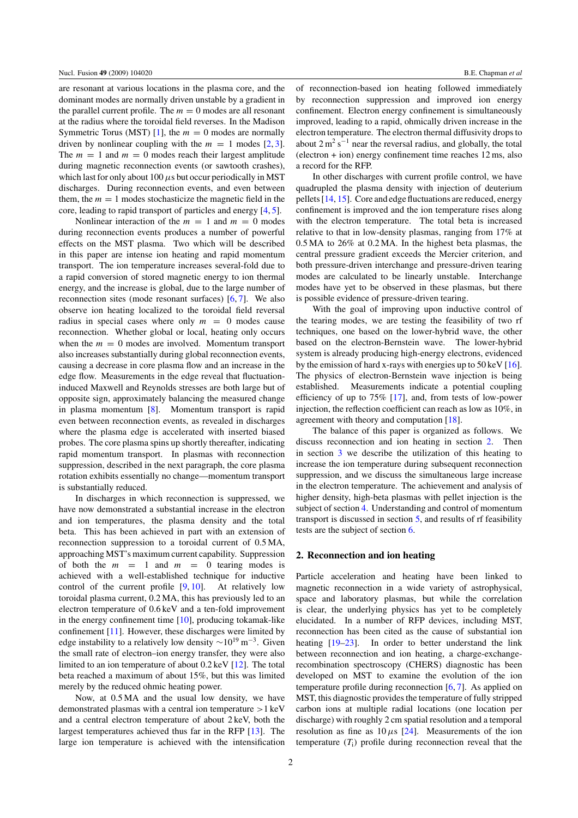are resonant at various locations in the plasma core, and the dominant modes are normally driven unstable by a gradient in the parallel current profile. The  $m = 0$  modes are all resonant at the radius where the toroidal field reverses. In the Madison Symmetric Torus (MST) [\[1\]](#page-9-0), the  $m = 0$  modes are normally driven by nonlinear coupling with the  $m = 1$  modes [\[2,](#page-9-1) [3\]](#page-9-2). The  $m = 1$  and  $m = 0$  modes reach their largest amplitude during magnetic reconnection events (or sawtooth crashes), which last for only about 100  $\mu$ s but occur periodically in MST discharges. During reconnection events, and even between them, the  $m = 1$  modes stochasticize the magnetic field in the core, leading to rapid transport of particles and energy [\[4,](#page-9-3) [5\]](#page-9-4).

Nonlinear interaction of the  $m = 1$  and  $m = 0$  modes during reconnection events produces a number of powerful effects on the MST plasma. Two which will be described in this paper are intense ion heating and rapid momentum transport. The ion temperature increases several-fold due to a rapid conversion of stored magnetic energy to ion thermal energy, and the increase is global, due to the large number of reconnection sites (mode resonant surfaces) [\[6,](#page-9-5) [7\]](#page-9-6). We also observe ion heating localized to the toroidal field reversal radius in special cases where only  $m = 0$  modes cause reconnection. Whether global or local, heating only occurs when the  $m = 0$  modes are involved. Momentum transport also increases substantially during global reconnection events, causing a decrease in core plasma flow and an increase in the edge flow. Measurements in the edge reveal that fluctuationinduced Maxwell and Reynolds stresses are both large but of opposite sign, approximately balancing the measured change in plasma momentum [\[8\]](#page-9-7). Momentum transport is rapid even between reconnection events, as revealed in discharges where the plasma edge is accelerated with inserted biased probes. The core plasma spins up shortly thereafter, indicating rapid momentum transport. In plasmas with reconnection suppression, described in the next paragraph, the core plasma rotation exhibits essentially no change—momentum transport is substantially reduced.

<span id="page-2-0"></span>In discharges in which reconnection is suppressed, we have now demonstrated a substantial increase in the electron and ion temperatures, the plasma density and the total beta. This has been achieved in part with an extension of reconnection suppression to a toroidal current of 0.5 MA, approaching MST's maximum current capability. Suppression of both the  $m = 1$  and  $m = 0$  tearing modes is achieved with a well-established technique for inductive control of the current profile [\[9,](#page-9-8) [10\]](#page-9-9). At relatively low toroidal plasma current, 0.2 MA, this has previously led to an electron temperature of 0.6 keV and a ten-fold improvement in the energy confinement time [\[10\]](#page-9-9), producing tokamak-like confinement [\[11\]](#page-9-10). However, these discharges were limited by edge instability to a relatively low density  $\sim 10^{19}$  m<sup>-3</sup>. Given the small rate of electron–ion energy transfer, they were also limited to an ion temperature of about 0.2 keV [\[12\]](#page-9-11). The total beta reached a maximum of about 15%, but this was limited merely by the reduced ohmic heating power.

Now, at 0.5 MA and the usual low density, we have demonstrated plasmas with a central ion temperature >1 keV and a central electron temperature of about 2 keV, both the largest temperatures achieved thus far in the RFP [\[13\]](#page-9-12). The large ion temperature is achieved with the intensification of reconnection-based ion heating followed immediately by reconnection suppression and improved ion energy confinement. Electron energy confinement is simultaneously improved, leading to a rapid, ohmically driven increase in the electron temperature. The electron thermal diffusivity drops to about  $2 \text{ m}^2 \text{ s}^{-1}$  near the reversal radius, and globally, the total (electron + ion) energy confinement time reaches 12 ms, also a record for the RFP.

In other discharges with current profile control, we have quadrupled the plasma density with injection of deuterium pellets [\[14,](#page-9-13) [15\]](#page-9-14). Core and edge fluctuations are reduced, energy confinement is improved and the ion temperature rises along with the electron temperature. The total beta is increased relative to that in low-density plasmas, ranging from 17% at 0.5 MA to 26% at 0.2 MA. In the highest beta plasmas, the central pressure gradient exceeds the Mercier criterion, and both pressure-driven interchange and pressure-driven tearing modes are calculated to be linearly unstable. Interchange modes have yet to be observed in these plasmas, but there is possible evidence of pressure-driven tearing.

With the goal of improving upon inductive control of the tearing modes, we are testing the feasibility of two rf techniques, one based on the lower-hybrid wave, the other based on the electron-Bernstein wave. The lower-hybrid system is already producing high-energy electrons, evidenced by the emission of hard x-rays with energies up to  $50 \,\text{keV}$  [\[16\]](#page-10-0). The physics of electron-Bernstein wave injection is being established. Measurements indicate a potential coupling efficiency of up to 75% [\[17\]](#page-10-1), and, from tests of low-power injection, the reflection coefficient can reach as low as 10%, in agreement with theory and computation [\[18\]](#page-10-2).

The balance of this paper is organized as follows. We discuss reconnection and ion heating in section [2.](#page-2-0) Then in section [3](#page-3-0) we describe the utilization of this heating to increase the ion temperature during subsequent reconnection suppression, and we discuss the simultaneous large increase in the electron temperature. The achievement and analysis of higher density, high-beta plasmas with pellet injection is the subject of section [4.](#page-5-0) Understanding and control of momentum transport is discussed in section [5,](#page-7-0) and results of rf feasibility tests are the subject of section [6.](#page-7-1)

## **2. Reconnection and ion heating**

Particle acceleration and heating have been linked to magnetic reconnection in a wide variety of astrophysical, space and laboratory plasmas, but while the correlation is clear, the underlying physics has yet to be completely elucidated. In a number of RFP devices, including MST, reconnection has been cited as the cause of substantial ion heating [\[19](#page-10-3)[–23\]](#page-10-4). In order to better understand the link between reconnection and ion heating, a charge-exchangerecombination spectroscopy (CHERS) diagnostic has been developed on MST to examine the evolution of the ion temperature profile during reconnection  $[6, 7]$  $[6, 7]$  $[6, 7]$ . As applied on MST, this diagnostic provides the temperature of fully stripped carbon ions at multiple radial locations (one location per discharge) with roughly 2 cm spatial resolution and a temporal resolution as fine as  $10 \mu s$  [\[24\]](#page-10-5). Measurements of the ion temperature  $(T<sub>i</sub>)$  profile during reconnection reveal that the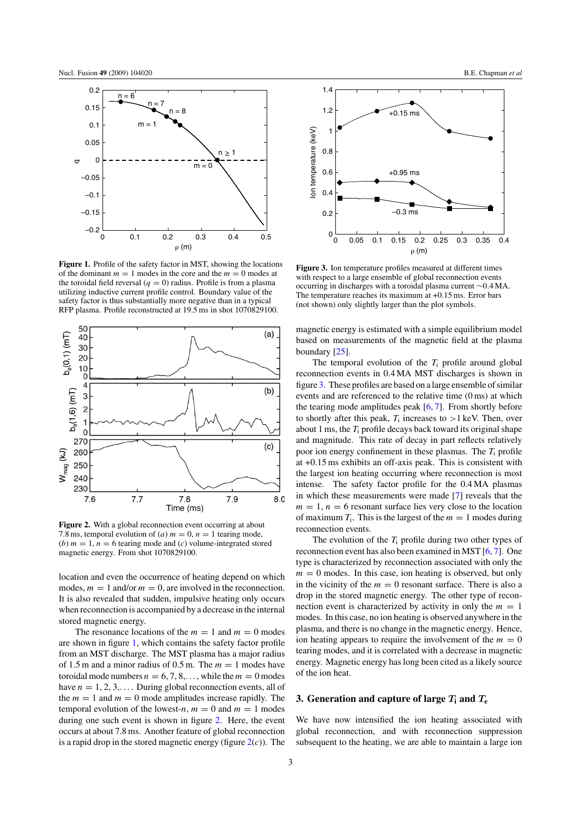<span id="page-3-1"></span>

<span id="page-3-2"></span>**Figure 1.** Profile of the safety factor in MST, showing the locations of the dominant  $m = 1$  modes in the core and the  $m = 0$  modes at the toroidal field reversal  $(q = 0)$  radius. Profile is from a plasma utilizing inductive current profile control. Boundary value of the safety factor is thus substantially more negative than in a typical RFP plasma. Profile reconstructed at 19.5 ms in shot 1070829100.



Figure 2. With a global reconnection event occurring at about 7.8 ms, temporal evolution of (a)  $m = 0$ ,  $n = 1$  tearing mode, (b)  $m = 1$ ,  $n = 6$  tearing mode and (c) volume-integrated stored magnetic energy. From shot 1070829100.

location and even the occurrence of heating depend on which modes,  $m = 1$  and/or  $m = 0$ , are involved in the reconnection. It is also revealed that sudden, impulsive heating only occurs when reconnection is accompanied by a decrease in the internal stored magnetic energy.

<span id="page-3-0"></span>The resonance locations of the  $m = 1$  and  $m = 0$  modes are shown in figure [1,](#page-3-1) which contains the safety factor profile from an MST discharge. The MST plasma has a major radius of 1.5 m and a minor radius of 0.5 m. The  $m = 1$  modes have toroidal mode numbers  $n = 6, 7, 8, \ldots$ , while the  $m = 0$  modes have  $n = 1, 2, 3, \ldots$  During global reconnection events, all of the  $m = 1$  and  $m = 0$  mode amplitudes increase rapidly. The temporal evolution of the lowest-n,  $m = 0$  and  $m = 1$  modes during one such event is shown in figure [2.](#page-3-2) Here, the event occurs at about 7.8 ms. Another feature of global reconnection is a rapid drop in the stored magnetic energy (figure  $2(c)$  $2(c)$ ). The



**Figure 3.** Ion temperature profiles measured at different times with respect to a large ensemble of global reconnection events occurring in discharges with a toroidal plasma current ∼0.4 MA. The temperature reaches its maximum at +0.15 ms. Error bars (not shown) only slightly larger than the plot symbols.

magnetic energy is estimated with a simple equilibrium model based on measurements of the magnetic field at the plasma boundary [\[25\]](#page-10-6).

The temporal evolution of the  $T_i$  profile around global reconnection events in 0.4 MA MST discharges is shown in figure [3.](#page-3-1) These profiles are based on a large ensemble of similar events and are referenced to the relative time (0 ms) at which the tearing mode amplitudes peak  $[6, 7]$  $[6, 7]$  $[6, 7]$ . From shortly before to shortly after this peak,  $T_i$  increases to  $>1$  keV. Then, over about 1 ms, the  $T_i$  profile decays back toward its original shape and magnitude. This rate of decay in part reflects relatively poor ion energy confinement in these plasmas. The  $T_i$  profile at +0.15 ms exhibits an off-axis peak. This is consistent with the largest ion heating occurring where reconnection is most intense. The safety factor profile for the 0.4 MA plasmas in which these measurements were made [\[7\]](#page-9-6) reveals that the  $m = 1$ ,  $n = 6$  resonant surface lies very close to the location of maximum  $T_i$ . This is the largest of the  $m = 1$  modes during reconnection events.

The evolution of the  $T_i$  profile during two other types of reconnection event has also been examined in MST [\[6,](#page-9-5) [7\]](#page-9-6). One type is characterized by reconnection associated with only the  $m = 0$  modes. In this case, ion heating is observed, but only in the vicinity of the  $m = 0$  resonant surface. There is also a drop in the stored magnetic energy. The other type of reconnection event is characterized by activity in only the  $m = 1$ modes. In this case, no ion heating is observed anywhere in the plasma, and there is no change in the magnetic energy. Hence, ion heating appears to require the involvement of the  $m = 0$ tearing modes, and it is correlated with a decrease in magnetic energy. Magnetic energy has long been cited as a likely source of the ion heat.

#### **3.** Generation and capture of large  $T_i$  and  $T_e$

We have now intensified the ion heating associated with global reconnection, and with reconnection suppression subsequent to the heating, we are able to maintain a large ion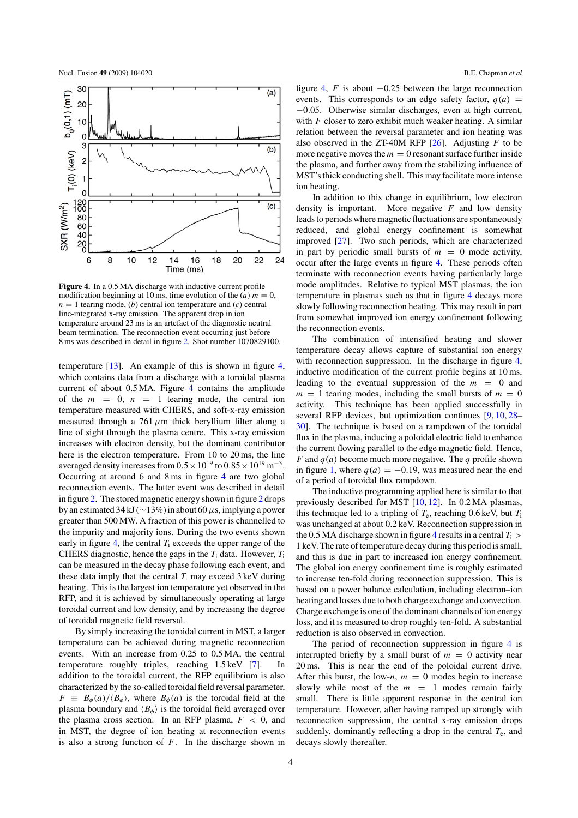<span id="page-4-0"></span>

**Figure 4.** In a 0.5 MA discharge with inductive current profile modification beginning at 10 ms, time evolution of the  $(a) m = 0$ ,  $n = 1$  tearing mode, (b) central ion temperature and (c) central line-integrated x-ray emission. The apparent drop in ion temperature around 23 ms is an artefact of the diagnostic neutral beam termination. The reconnection event occurring just before 8 ms was described in detail in figure [2.](#page-3-2) Shot number 1070829100.

temperature [\[13\]](#page-9-12). An example of this is shown in figure [4,](#page-4-0) which contains data from a discharge with a toroidal plasma current of about 0.5 MA. Figure [4](#page-4-0) contains the amplitude of the  $m = 0$ ,  $n = 1$  tearing mode, the central ion temperature measured with CHERS, and soft-x-ray emission measured through a 761  $\mu$ m thick beryllium filter along a line of sight through the plasma centre. This x-ray emission increases with electron density, but the dominant contributor here is the electron temperature. From 10 to 20 ms, the line averaged density increases from  $0.5 \times 10^{19}$  to  $0.85 \times 10^{19}$  m<sup>-3</sup>. Occurring at around 6 and 8 ms in figure [4](#page-4-0) are two global reconnection events. The latter event was described in detail in figure [2.](#page-3-2) The stored magnetic energy shown in figure [2](#page-3-2) drops by an estimated 34 kJ ( $\sim$ 13%) in about 60 µs, implying a power greater than 500 MW. A fraction of this power is channelled to the impurity and majority ions. During the two events shown early in figure [4,](#page-4-0) the central  $T_i$  exceeds the upper range of the CHERS diagnostic, hence the gaps in the  $T_i$  data. However,  $T_i$ can be measured in the decay phase following each event, and these data imply that the central  $T_i$  may exceed 3 keV during heating. This is the largest ion temperature yet observed in the RFP, and it is achieved by simultaneously operating at large toroidal current and low density, and by increasing the degree of toroidal magnetic field reversal.

By simply increasing the toroidal current in MST, a larger temperature can be achieved during magnetic reconnection events. With an increase from 0.25 to 0.5 MA, the central temperature roughly triples, reaching 1.5 keV [\[7\]](#page-9-6). In addition to the toroidal current, the RFP equilibrium is also characterized by the so-called toroidal field reversal parameter,  $F = B_{\phi}(a)/\langle B_{\phi} \rangle$ , where  $B_{\phi}(a)$  is the toroidal field at the plasma boundary and  $\langle B_{\phi} \rangle$  is the toroidal field averaged over the plasma cross section. In an RFP plasma,  $F < 0$ , and in MST, the degree of ion heating at reconnection events is also a strong function of  $F$ . In the discharge shown in

figure [4,](#page-4-0) F is about  $-0.25$  between the large reconnection events. This corresponds to an edge safety factor,  $q(a)$  = −0.05. Otherwise similar discharges, even at high current, with  $F$  closer to zero exhibit much weaker heating. A similar relation between the reversal parameter and ion heating was also observed in the ZT-40M RFP  $[26]$ . Adjusting F to be more negative moves the  $m = 0$  resonant surface further inside the plasma, and further away from the stabilizing influence of MST's thick conducting shell. This may facilitate more intense ion heating.

In addition to this change in equilibrium, low electron density is important. More negative  $F$  and low density leads to periods where magnetic fluctuations are spontaneously reduced, and global energy confinement is somewhat improved [\[27\]](#page-10-8). Two such periods, which are characterized in part by periodic small bursts of  $m = 0$  mode activity, occur after the large events in figure [4.](#page-4-0) These periods often terminate with reconnection events having particularly large mode amplitudes. Relative to typical MST plasmas, the ion temperature in plasmas such as that in figure [4](#page-4-0) decays more slowly following reconnection heating. This may result in part from somewhat improved ion energy confinement following the reconnection events.

The combination of intensified heating and slower temperature decay allows capture of substantial ion energy with reconnection suppression. In the discharge in figure [4,](#page-4-0) inductive modification of the current profile begins at 10 ms, leading to the eventual suppression of the  $m = 0$  and  $m = 1$  tearing modes, including the small bursts of  $m = 0$ activity. This technique has been applied successfully in several RFP devices, but optimization continues [\[9,](#page-9-8) [10,](#page-9-9) [28–](#page-10-9) [30\]](#page-10-10). The technique is based on a rampdown of the toroidal flux in the plasma, inducing a poloidal electric field to enhance the current flowing parallel to the edge magnetic field. Hence, F and  $q(a)$  become much more negative. The q profile shown in figure [1,](#page-3-1) where  $q(a) = -0.19$ , was measured near the end of a period of toroidal flux rampdown.

The inductive programming applied here is similar to that previously described for MST [\[10,](#page-9-9) [12\]](#page-9-11). In 0.2 MA plasmas, this technique led to a tripling of  $T_e$ , reaching 0.6 keV, but  $T_i$ was unchanged at about 0.2 keV. Reconnection suppression in the 0.5 MA discharge shown in figure [4](#page-4-0) results in a central  $T_i$  > 1 keV. The rate of temperature decay during this period is small, and this is due in part to increased ion energy confinement. The global ion energy confinement time is roughly estimated to increase ten-fold during reconnection suppression. This is based on a power balance calculation, including electron–ion heating and losses due to both charge exchange and convection. Charge exchange is one of the dominant channels of ion energy loss, and it is measured to drop roughly ten-fold. A substantial reduction is also observed in convection.

The period of reconnection suppression in figure [4](#page-4-0) is interrupted briefly by a small burst of  $m = 0$  activity near 20 ms. This is near the end of the poloidal current drive. After this burst, the low-n,  $m = 0$  modes begin to increase slowly while most of the  $m = 1$  modes remain fairly small. There is little apparent response in the central ion temperature. However, after having ramped up strongly with reconnection suppression, the central x-ray emission drops suddenly, dominantly reflecting a drop in the central  $T_e$ , and decays slowly thereafter.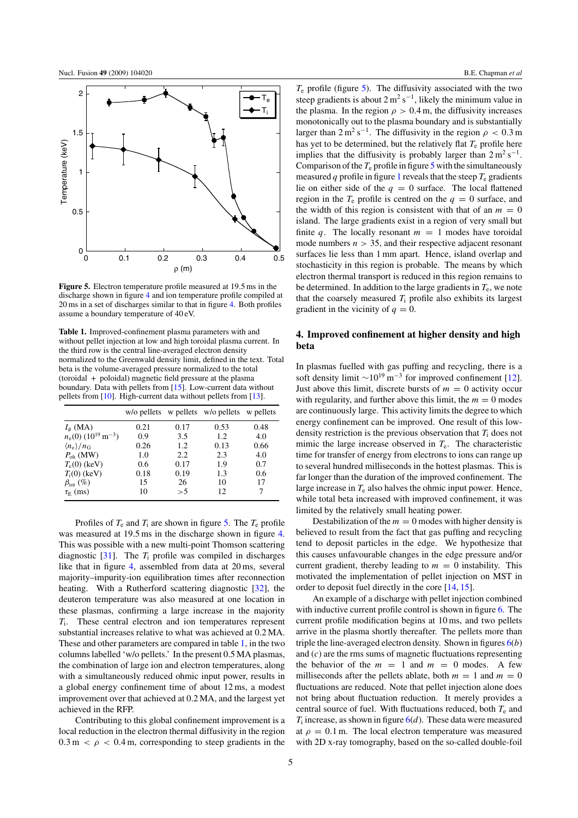<span id="page-5-1"></span>

<span id="page-5-2"></span><span id="page-5-0"></span>**Figure 5.** Electron temperature profile measured at 19.5 ms in the discharge shown in figure [4](#page-4-0) and ion temperature profile compiled at 20 ms in a set of discharges similar to that in figure [4.](#page-4-0) Both profiles assume a boundary temperature of 40 eV.

**Table 1.** Improved-confinement plasma parameters with and without pellet injection at low and high toroidal plasma current. In the third row is the central line-averaged electron density normalized to the Greenwald density limit, defined in the text. Total beta is the volume-averaged pressure normalized to the total (toroidal + poloidal) magnetic field pressure at the plasma boundary. Data with pellets from [\[15\]](#page-9-14). Low-current data without pellets from [\[10\]](#page-9-9). High-current data without pellets from [\[13\]](#page-9-12).

|                                              |      |      | w/o pellets w pellets w/o pellets w pellets |      |
|----------------------------------------------|------|------|---------------------------------------------|------|
| $I_{\phi}$ (MA)                              | 0.21 | 0.17 | 0.53                                        | 0.48 |
| $n_e(0)$ (10 <sup>19</sup> m <sup>-3</sup> ) | 0.9  | 3.5  | 1.2                                         | 4.0  |
| $\langle n_{\rm e} \rangle / n_{\rm G}$      | 0.26 | 1.2. | 0.13                                        | 0.66 |
| $P_{\text{oh}}$ (MW)                         | 1.0  | 2.2. | 2.3                                         | 4.0  |
| $T_e(0)$ (keV)                               | 0.6  | 0.17 | 1.9                                         | 0.7  |
| $T_i(0)$ (keV)                               | 0.18 | 0.19 | 1.3                                         | 0.6  |
| $\beta_{\rm tot}$ (%)                        | 15   | 26   | 10                                          | 17   |
| $\tau_{\rm E}$ (ms)                          | 10   | > 5  | 12                                          | 7    |

Profiles of  $T_e$  and  $T_i$  are shown in figure [5.](#page-5-1) The  $T_e$  profile was measured at 19.5 ms in the discharge shown in figure [4.](#page-4-0) This was possible with a new multi-point Thomson scattering diagnostic  $[31]$ . The  $T_i$  profile was compiled in discharges like that in figure [4,](#page-4-0) assembled from data at 20 ms, several majority–impurity-ion equilibration times after reconnection heating. With a Rutherford scattering diagnostic [\[32\]](#page-10-1), the deuteron temperature was also measured at one location in these plasmas, confirming a large increase in the majority  $T_i$ . These central electron and ion temperatures represent substantial increases relative to what was achieved at 0.2 MA. These and other parameters are compared in table [1,](#page-5-2) in the two columns labelled 'w/o pellets.' In the present 0.5 MA plasmas, the combination of large ion and electron temperatures, along with a simultaneously reduced ohmic input power, results in a global energy confinement time of about 12 ms, a modest improvement over that achieved at 0.2 MA, and the largest yet achieved in the RFP.

Contributing to this global confinement improvement is a local reduction in the electron thermal diffusivity in the region  $0.3 \text{ m} < \rho < 0.4 \text{ m}$ , corresponding to steep gradients in the

 $T<sub>e</sub>$  profile (figure [5\)](#page-5-1). The diffusivity associated with the two steep gradients is about  $2 \text{ m}^2 \text{ s}^{-1}$ , likely the minimum value in the plasma. In the region  $\rho > 0.4$  m, the diffusivity increases monotonically out to the plasma boundary and is substantially larger than  $2 \text{ m}^2 \text{ s}^{-1}$ . The diffusivity in the region  $\rho < 0.3 \text{ m}$ has yet to be determined, but the relatively flat  $T<sub>e</sub>$  profile here implies that the diffusivity is probably larger than  $2 \text{ m}^2 \text{ s}^{-1}$ . Comparison of the  $T_e$  profile in figure [5](#page-5-1) with the simultaneously measured q profile in figure [1](#page-3-1) reveals that the steep  $T_e$  gradients lie on either side of the  $q = 0$  surface. The local flattened region in the  $T_e$  profile is centred on the  $q = 0$  surface, and the width of this region is consistent with that of an  $m = 0$ island. The large gradients exist in a region of very small but finite q. The locally resonant  $m = 1$  modes have toroidal mode numbers  $n > 35$ , and their respective adjacent resonant surfaces lie less than 1 mm apart. Hence, island overlap and stochasticity in this region is probable. The means by which electron thermal transport is reduced in this region remains to be determined. In addition to the large gradients in  $T_e$ , we note that the coarsely measured  $T_i$  profile also exhibits its largest gradient in the vicinity of  $q = 0$ .

## **4. Improved confinement at higher density and high beta**

In plasmas fuelled with gas puffing and recycling, there is a soft density limit  $\sim 10^{19}$  m<sup>-3</sup> for improved confinement [\[12\]](#page-9-11). Just above this limit, discrete bursts of  $m = 0$  activity occur with regularity, and further above this limit, the  $m = 0$  modes are continuously large. This activity limits the degree to which energy confinement can be improved. One result of this lowdensity restriction is the previous observation that  $T<sub>i</sub>$  does not mimic the large increase observed in  $T<sub>e</sub>$ . The characteristic time for transfer of energy from electrons to ions can range up to several hundred milliseconds in the hottest plasmas. This is far longer than the duration of the improved confinement. The large increase in  $T<sub>e</sub>$  also halves the ohmic input power. Hence, while total beta increased with improved confinement, it was limited by the relatively small heating power.

Destabilization of the  $m = 0$  modes with higher density is believed to result from the fact that gas puffing and recycling tend to deposit particles in the edge. We hypothesize that this causes unfavourable changes in the edge pressure and/or current gradient, thereby leading to  $m = 0$  instability. This motivated the implementation of pellet injection on MST in order to deposit fuel directly in the core [\[14,](#page-9-13) [15\]](#page-9-14).

An example of a discharge with pellet injection combined with inductive current profile control is shown in figure  $6$ . The current profile modification begins at 10 ms, and two pellets arrive in the plasma shortly thereafter. The pellets more than triple the line-averaged electron density. Shown in figures  $6(b)$  $6(b)$ and  $(c)$  are the rms sums of magnetic fluctuations representing the behavior of the  $m = 1$  and  $m = 0$  modes. A few milliseconds after the pellets ablate, both  $m = 1$  and  $m = 0$ fluctuations are reduced. Note that pellet injection alone does not bring about fluctuation reduction. It merely provides a central source of fuel. With fluctuations reduced, both  $T<sub>e</sub>$  and  $T_i$  increase, as shown in figure  $6(d)$  $6(d)$ . These data were measured at  $\rho = 0.1$  m. The local electron temperature was measured with 2D x-ray tomography, based on the so-called double-foil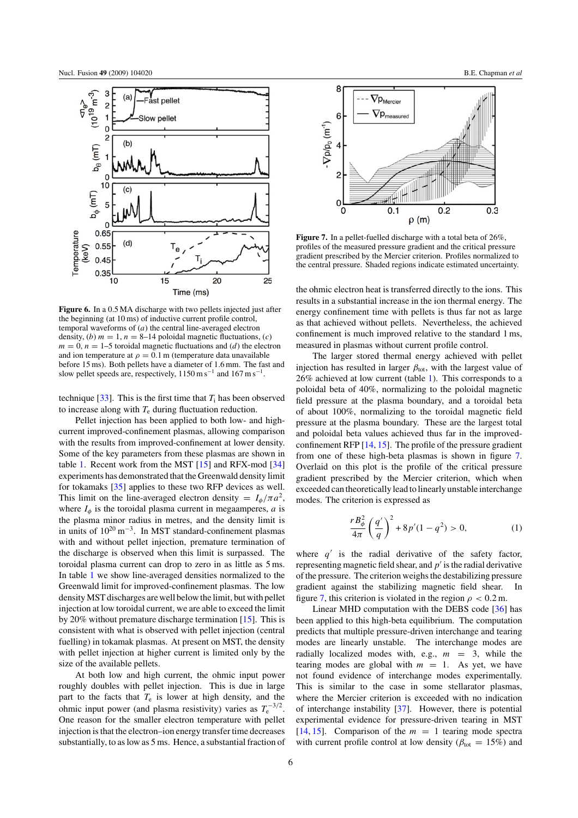<span id="page-6-0"></span>

**Figure 6.** In a 0.5 MA discharge with two pellets injected just after the beginning (at 10 ms) of inductive current profile control, temporal waveforms of  $(a)$  the central line-averaged electron density, (b)  $m = 1$ ,  $n = 8-14$  poloidal magnetic fluctuations, (c)  $m = 0$ ,  $n = 1-5$  toroidal magnetic fluctuations and (d) the electron and ion temperature at  $\rho = 0.1$  m (temperature data unavailable before 15 ms). Both pellets have a diameter of 1.6 mm. The fast and slow pellet speeds are, respectively,  $1150 \text{ m s}^{-1}$  and  $167 \text{ m s}^{-1}$ .

technique [\[33\]](#page-10-11). This is the first time that  $T_i$  has been observed to increase along with  $T<sub>e</sub>$  during fluctuation reduction.

Pellet injection has been applied to both low- and highcurrent improved-confinement plasmas, allowing comparison with the results from improved-confinement at lower density. Some of the key parameters from these plasmas are shown in table [1.](#page-5-2) Recent work from the MST [\[15\]](#page-9-14) and RFX-mod [\[34\]](#page-10-12) experiments has demonstrated that the Greenwald density limit for tokamaks [\[35\]](#page-10-13) applies to these two RFP devices as well. This limit on the line-averaged electron density =  $I_{\phi}/\pi a^2$ , where  $I_{\phi}$  is the toroidal plasma current in megaamperes,  $\alpha$  is the plasma minor radius in metres, and the density limit is in units of  $10^{20} \text{ m}^{-3}$ . In MST standard-confinement plasmas with and without pellet injection, premature termination of the discharge is observed when this limit is surpassed. The toroidal plasma current can drop to zero in as little as 5 ms. In table [1](#page-5-2) we show line-averaged densities normalized to the Greenwald limit for improved-confinement plasmas. The low densityMST discharges are well below the limit, but with pellet injection at low toroidal current, we are able to exceed the limit by 20% without premature discharge termination [\[15\]](#page-9-14). This is consistent with what is observed with pellet injection (central fuelling) in tokamak plasmas. At present on MST, the density with pellet injection at higher current is limited only by the size of the available pellets.

At both low and high current, the ohmic input power roughly doubles with pellet injection. This is due in large part to the facts that  $T_e$  is lower at high density, and the ohmic input power (and plasma resistivity) varies as  $T_e^{-3/2}$ . One reason for the smaller electron temperature with pellet injection is that the electron–ion energy transfer time decreases substantially, to as low as 5 ms. Hence, a substantial fraction of



**Figure 7.** In a pellet-fuelled discharge with a total beta of 26%, profiles of the measured pressure gradient and the critical pressure gradient prescribed by the Mercier criterion. Profiles normalized to the central pressure. Shaded regions indicate estimated uncertainty.

the ohmic electron heat is transferred directly to the ions. This results in a substantial increase in the ion thermal energy. The energy confinement time with pellets is thus far not as large as that achieved without pellets. Nevertheless, the achieved confinement is much improved relative to the standard 1 ms, measured in plasmas without current profile control.

The larger stored thermal energy achieved with pellet injection has resulted in larger  $\beta_{\text{tot}}$ , with the largest value of 26% achieved at low current (table [1\)](#page-5-2). This corresponds to a poloidal beta of 40%, normalizing to the poloidal magnetic field pressure at the plasma boundary, and a toroidal beta of about 100%, normalizing to the toroidal magnetic field pressure at the plasma boundary. These are the largest total and poloidal beta values achieved thus far in the improvedconfinement RFP [\[14,](#page-9-13) [15\]](#page-9-14). The profile of the pressure gradient from one of these high-beta plasmas is shown in figure [7.](#page-6-0) Overlaid on this plot is the profile of the critical pressure gradient prescribed by the Mercier criterion, which when exceeded can theoretically lead to linearly unstable interchange modes. The criterion is expressed as

$$
\frac{rB_{\phi}^{2}}{4\pi} \left(\frac{q'}{q}\right)^{2} + 8p'(1 - q^{2}) > 0, \tag{1}
$$

where  $q'$  is the radial derivative of the safety factor, representing magnetic field shear, and  $p'$  is the radial derivative of the pressure. The criterion weighs the destabilizing pressure gradient against the stabilizing magnetic field shear. In figure [7,](#page-6-0) this criterion is violated in the region  $\rho < 0.2$  m.

Linear MHD computation with the DEBS code [\[36\]](#page-10-14) has been applied to this high-beta equilibrium. The computation predicts that multiple pressure-driven interchange and tearing modes are linearly unstable. The interchange modes are radially localized modes with, e.g.,  $m = 3$ , while the tearing modes are global with  $m = 1$ . As yet, we have not found evidence of interchange modes experimentally. This is similar to the case in some stellarator plasmas, where the Mercier criterion is exceeded with no indication of interchange instability [\[37\]](#page-10-15). However, there is potential experimental evidence for pressure-driven tearing in MST [\[14,](#page-9-13) [15\]](#page-9-14). Comparison of the  $m = 1$  tearing mode spectra with current profile control at low density ( $\beta_{\text{tot}} = 15\%$ ) and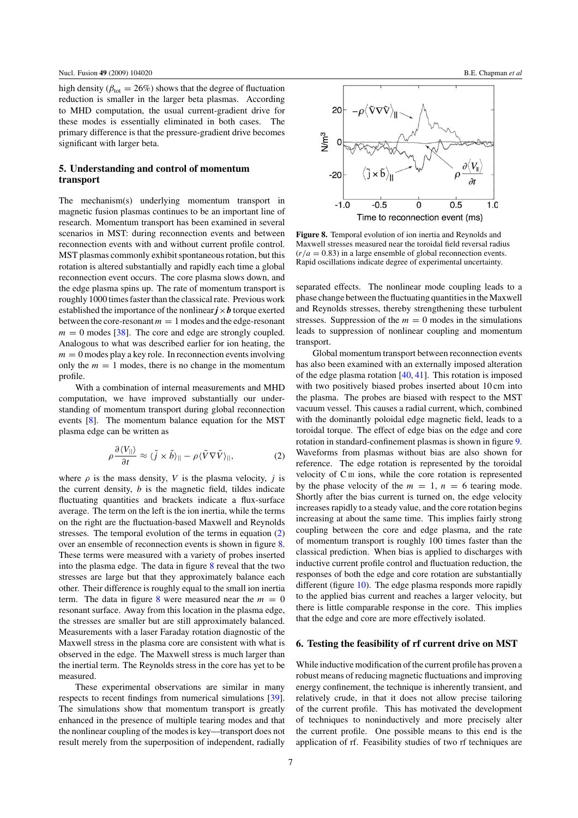<span id="page-7-3"></span><span id="page-7-0"></span>high density ( $\beta_{\text{tot}} = 26\%$ ) shows that the degree of fluctuation reduction is smaller in the larger beta plasmas. According to MHD computation, the usual current-gradient drive for these modes is essentially eliminated in both cases. The primary difference is that the pressure-gradient drive becomes significant with larger beta.

## **5. Understanding and control of momentum transport**

The mechanism(s) underlying momentum transport in magnetic fusion plasmas continues to be an important line of research. Momentum transport has been examined in several scenarios in MST: during reconnection events and between reconnection events with and without current profile control. MST plasmas commonly exhibit spontaneous rotation, but this rotation is altered substantially and rapidly each time a global reconnection event occurs. The core plasma slows down, and the edge plasma spins up. The rate of momentum transport is roughly 1000 times faster than the classical rate. Previous work established the importance of the nonlinear  $j \times b$  torque exerted between the core-resonant  $m = 1$  modes and the edge-resonant  $m = 0$  modes [\[38\]](#page-10-16). The core and edge are strongly coupled. Analogous to what was described earlier for ion heating, the  $m = 0$  modes play a key role. In reconnection events involving only the  $m = 1$  modes, there is no change in the momentum profile.

<span id="page-7-2"></span>With a combination of internal measurements and MHD computation, we have improved substantially our understanding of momentum transport during global reconnection events [\[8\]](#page-9-7). The momentum balance equation for the MST plasma edge can be written as

$$
\rho \frac{\partial \langle V_{||}\rangle}{\partial t} \approx \langle \tilde{j} \times \tilde{b}\rangle_{||} - \rho \langle \tilde{V} \nabla \tilde{V}\rangle_{||},\tag{2}
$$

where  $\rho$  is the mass density, V is the plasma velocity, j is the current density,  $b$  is the magnetic field, tildes indicate fluctuating quantities and brackets indicate a flux-surface average. The term on the left is the ion inertia, while the terms on the right are the fluctuation-based Maxwell and Reynolds stresses. The temporal evolution of the terms in equation [\(2\)](#page-7-2) over an ensemble of reconnection events is shown in figure [8.](#page-7-3) These terms were measured with a variety of probes inserted into the plasma edge. The data in figure  $8$  reveal that the two stresses are large but that they approximately balance each other. Their difference is roughly equal to the small ion inertia term. The data in figure [8](#page-7-3) were measured near the  $m = 0$ resonant surface. Away from this location in the plasma edge, the stresses are smaller but are still approximately balanced. Measurements with a laser Faraday rotation diagnostic of the Maxwell stress in the plasma core are consistent with what is observed in the edge. The Maxwell stress is much larger than the inertial term. The Reynolds stress in the core has yet to be measured.

<span id="page-7-1"></span>These experimental observations are similar in many respects to recent findings from numerical simulations [\[39\]](#page-10-17). The simulations show that momentum transport is greatly enhanced in the presence of multiple tearing modes and that the nonlinear coupling of the modes is key—transport does not result merely from the superposition of independent, radially



**Figure 8.** Temporal evolution of ion inertia and Reynolds and Maxwell stresses measured near the toroidal field reversal radius  $(r/a = 0.83)$  in a large ensemble of global reconnection events. Rapid oscillations indicate degree of experimental uncertainty.

separated effects. The nonlinear mode coupling leads to a phase change between the fluctuating quantities in the Maxwell and Reynolds stresses, thereby strengthening these turbulent stresses. Suppression of the  $m = 0$  modes in the simulations leads to suppression of nonlinear coupling and momentum transport.

Global momentum transport between reconnection events has also been examined with an externally imposed alteration of the edge plasma rotation  $[40, 41]$  $[40, 41]$  $[40, 41]$ . This rotation is imposed with two positively biased probes inserted about 10 cm into the plasma. The probes are biased with respect to the MST vacuum vessel. This causes a radial current, which, combined with the dominantly poloidal edge magnetic field, leads to a toroidal torque. The effect of edge bias on the edge and core rotation in standard-confinement plasmas is shown in figure [9.](#page-8-0) Waveforms from plasmas without bias are also shown for reference. The edge rotation is represented by the toroidal velocity of CIII ions, while the core rotation is represented by the phase velocity of the  $m = 1$ ,  $n = 6$  tearing mode. Shortly after the bias current is turned on, the edge velocity increases rapidly to a steady value, and the core rotation begins increasing at about the same time. This implies fairly strong coupling between the core and edge plasma, and the rate of momentum transport is roughly 100 times faster than the classical prediction. When bias is applied to discharges with inductive current profile control and fluctuation reduction, the responses of both the edge and core rotation are substantially different (figure [10\)](#page-8-1). The edge plasma responds more rapidly to the applied bias current and reaches a larger velocity, but there is little comparable response in the core. This implies that the edge and core are more effectively isolated.

#### **6. Testing the feasibility of rf current drive on MST**

While inductive modification of the current profile has proven a robust means of reducing magnetic fluctuations and improving energy confinement, the technique is inherently transient, and relatively crude, in that it does not allow precise tailoring of the current profile. This has motivated the development of techniques to noninductively and more precisely alter the current profile. One possible means to this end is the application of rf. Feasibility studies of two rf techniques are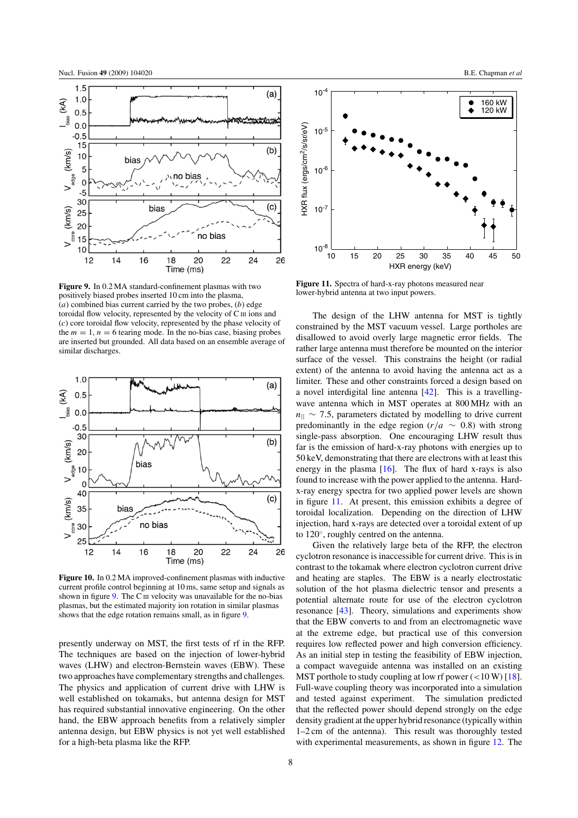<span id="page-8-0"></span>

<span id="page-8-1"></span>**Figure 9.** In 0.2 MA standard-confinement plasmas with two positively biased probes inserted 10 cm into the plasma,  $(a)$  combined bias current carried by the two probes,  $(b)$  edge toroidal flow velocity, represented by the velocity of CIII ions and (c) core toroidal flow velocity, represented by the phase velocity of the  $m = 1$ ,  $n = 6$  tearing mode. In the no-bias case, biasing probes are inserted but grounded. All data based on an ensemble average of similar discharges.



**Figure 10.** In 0.2 MA improved-confinement plasmas with inductive current profile control beginning at 10 ms, same setup and signals as shown in figure  $9$ . The C<sub>III</sub> velocity was unavailable for the no-bias plasmas, but the estimated majority ion rotation in similar plasmas shows that the edge rotation remains small, as in figure [9.](#page-8-0)

presently underway on MST, the first tests of rf in the RFP. The techniques are based on the injection of lower-hybrid waves (LHW) and electron-Bernstein waves (EBW). These two approaches have complementary strengths and challenges. The physics and application of current drive with LHW is well established on tokamaks, but antenna design for MST has required substantial innovative engineering. On the other hand, the EBW approach benefits from a relatively simpler antenna design, but EBW physics is not yet well established for a high-beta plasma like the RFP.



10 15 20 25 30 35 40 45 50

HXR energy (keV)

**Figure 11.** Spectra of hard-x-ray photons measured near lower-hybrid antenna at two input powers.

 $10^{-8}$  L<br>10

HXR flux (ergs/cm2/s/sr/eV)

HXR flux (ergs/cm<sup>2</sup>/s/sr/eV)

The design of the LHW antenna for MST is tightly constrained by the MST vacuum vessel. Large portholes are disallowed to avoid overly large magnetic error fields. The rather large antenna must therefore be mounted on the interior surface of the vessel. This constrains the height (or radial extent) of the antenna to avoid having the antenna act as a limiter. These and other constraints forced a design based on a novel interdigital line antenna [\[42\]](#page-10-8). This is a travellingwave antenna which in MST operates at 800 MHz with an  $n_{\parallel}$  ~ 7.5, parameters dictated by modelling to drive current predominantly in the edge region ( $r/a \sim 0.8$ ) with strong single-pass absorption. One encouraging LHW result thus far is the emission of hard-x-ray photons with energies up to 50 keV, demonstrating that there are electrons with at least this energy in the plasma  $[16]$ . The flux of hard x-rays is also found to increase with the power applied to the antenna. Hardx-ray energy spectra for two applied power levels are shown in figure [11.](#page-8-0) At present, this emission exhibits a degree of toroidal localization. Depending on the direction of LHW injection, hard x-rays are detected over a toroidal extent of up to 120◦, roughly centred on the antenna.

Given the relatively large beta of the RFP, the electron cyclotron resonance is inaccessible for current drive. This is in contrast to the tokamak where electron cyclotron current drive and heating are staples. The EBW is a nearly electrostatic solution of the hot plasma dielectric tensor and presents a potential alternate route for use of the electron cyclotron resonance [\[43\]](#page-10-20). Theory, simulations and experiments show that the EBW converts to and from an electromagnetic wave at the extreme edge, but practical use of this conversion requires low reflected power and high conversion efficiency. As an initial step in testing the feasibility of EBW injection, a compact waveguide antenna was installed on an existing MST porthole to study coupling at low rf power  $\left($  < 10 W) [\[18\]](#page-10-2). Full-wave coupling theory was incorporated into a simulation and tested against experiment. The simulation predicted that the reflected power should depend strongly on the edge density gradient at the upper hybrid resonance (typically within 1–2 cm of the antenna). This result was thoroughly tested with experimental measurements, as shown in figure [12.](#page-9-15) The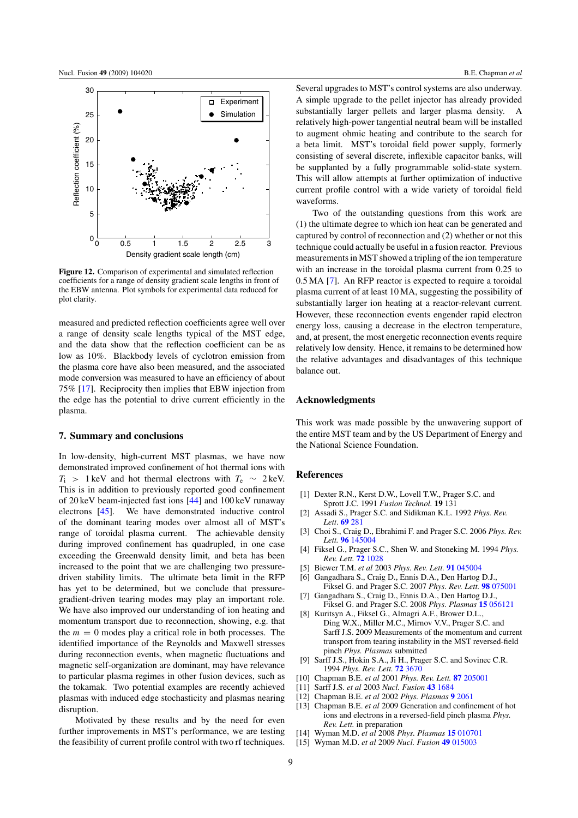<span id="page-9-15"></span>

**Figure 12.** Comparison of experimental and simulated reflection coefficients for a range of density gradient scale lengths in front of the EBW antenna. Plot symbols for experimental data reduced for plot clarity.

measured and predicted reflection coefficients agree well over a range of density scale lengths typical of the MST edge, and the data show that the reflection coefficient can be as low as 10%. Blackbody levels of cyclotron emission from the plasma core have also been measured, and the associated mode conversion was measured to have an efficiency of about 75% [\[17\]](#page-10-1). Reciprocity then implies that EBW injection from the edge has the potential to drive current efficiently in the plasma.

#### <span id="page-9-0"></span>**7. Summary and conclusions**

<span id="page-9-7"></span><span id="page-9-6"></span><span id="page-9-5"></span><span id="page-9-4"></span><span id="page-9-3"></span><span id="page-9-2"></span><span id="page-9-1"></span>In low-density, high-current MST plasmas, we have now demonstrated improved confinement of hot thermal ions with  $T_i$  > 1 keV and hot thermal electrons with  $T_e \sim 2 \text{ keV}$ . This is in addition to previously reported good confinement of 20 keV beam-injected fast ions [\[44\]](#page-10-21) and 100 keV runaway electrons [\[45\]](#page-10-22). We have demonstrated inductive control of the dominant tearing modes over almost all of MST's range of toroidal plasma current. The achievable density during improved confinement has quadrupled, in one case exceeding the Greenwald density limit, and beta has been increased to the point that we are challenging two pressuredriven stability limits. The ultimate beta limit in the RFP has yet to be determined, but we conclude that pressuregradient-driven tearing modes may play an important role. We have also improved our understanding of ion heating and momentum transport due to reconnection, showing, e.g. that the  $m = 0$  modes play a critical role in both processes. The identified importance of the Reynolds and Maxwell stresses during reconnection events, when magnetic fluctuations and magnetic self-organization are dominant, may have relevance to particular plasma regimes in other fusion devices, such as the tokamak. Two potential examples are recently achieved plasmas with induced edge stochasticity and plasmas nearing disruption.

<span id="page-9-14"></span><span id="page-9-13"></span><span id="page-9-12"></span><span id="page-9-11"></span><span id="page-9-10"></span><span id="page-9-9"></span><span id="page-9-8"></span>Motivated by these results and by the need for even further improvements in MST's performance, we are testing the feasibility of current profile control with two rf techniques.

Several upgrades to MST's control systems are also underway. A simple upgrade to the pellet injector has already provided substantially larger pellets and larger plasma density. A relatively high-power tangential neutral beam will be installed to augment ohmic heating and contribute to the search for a beta limit. MST's toroidal field power supply, formerly consisting of several discrete, inflexible capacitor banks, will be supplanted by a fully programmable solid-state system. This will allow attempts at further optimization of inductive current profile control with a wide variety of toroidal field waveforms.

Two of the outstanding questions from this work are (1) the ultimate degree to which ion heat can be generated and captured by control of reconnection and (2) whether or not this technique could actually be useful in a fusion reactor. Previous measurements in MST showed a tripling of the ion temperature with an increase in the toroidal plasma current from 0.25 to 0.5 MA [\[7\]](#page-9-6). An RFP reactor is expected to require a toroidal plasma current of at least 10 MA, suggesting the possibility of substantially larger ion heating at a reactor-relevant current. However, these reconnection events engender rapid electron energy loss, causing a decrease in the electron temperature, and, at present, the most energetic reconnection events require relatively low density. Hence, it remains to be determined how the relative advantages and disadvantages of this technique balance out.

#### **Acknowledgments**

This work was made possible by the unwavering support of the entire MST team and by the US Department of Energy and the National Science Foundation.

## **References**

- [1] Dexter R.N., Kerst D.W., Lovell T.W., Prager S.C. and Sprott J.C. 1991 *Fusion Technol.* **19** 131
- [2] Assadi S., Prager S.C. and Sidikman K.L. 1992 *Phys. Rev. Lett*. **69** [281](http://dx.doi.org/10.1103/PhysRevLett.69.281)
- [3] Choi S., Craig D., Ebrahimi F. and Prager S.C. 2006 *Phys. Rev. Lett.* **96** [145004](http://dx.doi.org/10.1103/PhysRevLett.96.145004)
- [4] Fiksel G., Prager S.C., Shen W. and Stoneking M. 1994 *Phys. Rev. Lett.* **72** [1028](http://dx.doi.org/10.1103/PhysRevLett.72.1028)
- [5] Biewer T.M. *et al* 2003 *Phys. Rev. Lett.* **91** [045004](http://dx.doi.org/10.1103/PhysRevLett.91.045004)
- [6] Gangadhara S., Craig D., Ennis D.A., Den Hartog D.J., Fiksel G. and Prager S.C. 2007 *Phys. Rev. Lett.* **98** [075001](http://dx.doi.org/10.1103/PhysRevLett.98.075001)
- [7] Gangadhara S., Craig D., Ennis D.A., Den Hartog D.J., Fiksel G. and Prager S.C. 2008 *Phys. Plasmas* **15** [056121](http://dx.doi.org/10.1063/1.2884038)
- [8] Kuritsyn A., Fiksel G., Almagri A.F., Brower D.L., Ding W.X., Miller M.C., Mirnov V.V., Prager S.C. and Sarff J.S. 2009 Measurements of the momentum and current transport from tearing instability in the MST reversed-field pinch *Phys. Plasmas* submitted
- [9] Sarff J.S., Hokin S.A., Ji H., Prager S.C. and Sovinec C.R. 1994 *Phys. Rev. Lett.* **72** [3670](http://dx.doi.org/10.1103/PhysRevLett.72.3670)
- [10] Chapman B.E. *et al* 2001 *Phys. Rev. Lett.* **87** [205001](http://dx.doi.org/10.1103/PhysRevLett.87.205001)
- [11] Sarff J.S. *et al* 2003 *Nucl. Fusion* **43** [1684](http://dx.doi.org/10.1088/0029-5515/43/12/014)
- [12] Chapman B.E. *et al* 2002 *Phys. Plasmas* **9** [2061](http://dx.doi.org/10.1063/1.1456930)
- [13] Chapman B.E. *et al* 2009 Generation and confinement of hot ions and electrons in a reversed-field pinch plasma *Phys. Rev. Lett.* in preparation
- [14] Wyman M.D. *et al* 2008 *Phys. Plasmas* **15** [010701](http://dx.doi.org/10.1063/1.2835439)
- [15] Wyman M.D. *et al* 2009 *Nucl. Fusion* **49** [015003](http://dx.doi.org/10.1088/0029-5515/49/1/015003)